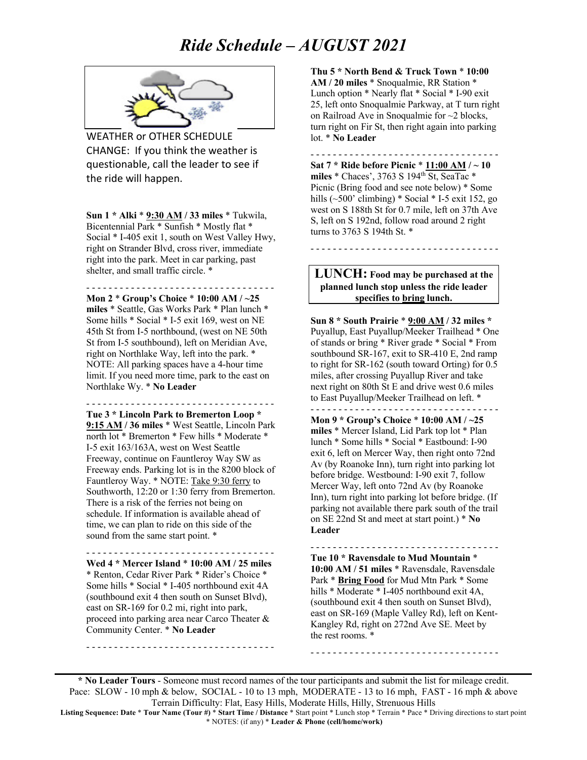

WEATHER or OTHER SCHEDULE CHANGE: If you think the weather is questionable, call the leader to see if the ride will happen.

**Sun 1 \* Alki** \* **9:30 AM / 33 miles** \* Tukwila, Bicentennial Park \* Sunfish \* Mostly flat \* Social \* I-405 exit 1, south on West Valley Hwy, right on Strander Blvd, cross river, immediate right into the park. Meet in car parking, past shelter, and small traffic circle. \*

- - - - - - - - - - - - - - - - - - - - - - - - - - - - - - - - - -

**Mon 2** \* **Group's Choice** \* **10:00 AM / ~25 miles** \* Seattle, Gas Works Park \* Plan lunch \* Some hills \* Social \* I-5 exit 169, west on NE 45th St from I-5 northbound, (west on NE 50th St from I-5 southbound), left on Meridian Ave, right on Northlake Way, left into the park. \* NOTE: All parking spaces have a 4-hour time limit. If you need more time, park to the east on Northlake Wy. \* **No Leader**

- - - - - - - - - - - - - - - - - - - - - - - - - - - - - - - - - -

**Tue 3 \* Lincoln Park to Bremerton Loop \* 9:15 AM / 36 miles** \* West Seattle, Lincoln Park north lot \* Bremerton \* Few hills \* Moderate \* I-5 exit 163/163A, west on West Seattle Freeway, continue on Fauntleroy Way SW as Freeway ends. Parking lot is in the 8200 block of Fauntleroy Way. \* NOTE: Take 9:30 ferry to Southworth, 12:20 or 1:30 ferry from Bremerton. There is a risk of the ferries not being on schedule. If information is available ahead of time, we can plan to ride on this side of the sound from the same start point. \*

**Wed 4 \* Mercer Island** \* **10:00 AM / 25 miles** \* Renton, Cedar River Park \* Rider's Choice \* Some hills \* Social \* I-405 northbound exit 4A (southbound exit 4 then south on Sunset Blvd), east on SR-169 for 0.2 mi, right into park, proceed into parking area near Carco Theater & Community Center. \* **No Leader**

- - - - - - - - - - - - - - - - - - - - - - - - - - - - - - - - - -

- - - - - - - - - - - - - - - - - - - - - - - - - - - - - - - - - -

**Thu 5 \* North Bend & Truck Town** \* **10:00 AM / 20 miles** \* Snoqualmie, RR Station \* Lunch option \* Nearly flat \* Social \* I-90 exit 25, left onto Snoqualmie Parkway, at T turn right on Railroad Ave in Snoqualmie for ~2 blocks, turn right on Fir St, then right again into parking lot. \* **No Leader**

**Sat 7 \* Ride before Picnic** \* **11:00 AM / ~ 10**  miles \* Chaces', 3763 S 194<sup>th</sup> St, SeaTac \* Picnic (Bring food and see note below) \* Some hills  $(\sim 500$ ' climbing) \* Social \* I-5 exit 152, go west on S 188th St for 0.7 mile, left on 37th Ave S, left on S 192nd, follow road around 2 right turns to 3763 S 194th St. \*

- - - - - - - - - - - - - - - - - - - - - - - - - - - - - - - - - -

#### **LUNCH: Food may be purchased at the planned lunch stop unless the ride leader specifies to bring lunch.**

- - - - - - - - - - - - - - - - - - - - - - - - - - - - - - - - - -

**Sun 8 \* South Prairie** \* **9:00 AM / 32 miles \***  Puyallup, East Puyallup/Meeker Trailhead \* One of stands or bring \* River grade \* Social \* From southbound SR-167, exit to SR-410 E, 2nd ramp to right for SR-162 (south toward Orting) for 0.5 miles, after crossing Puyallup River and take next right on 80th St E and drive west 0.6 miles to East Puyallup/Meeker Trailhead on left. \* - - - - - - - - - - - - - - - - - - - - - - - - - - - - - - - - - -

**Mon 9 \* Group's Choice** \* **10:00 AM / ~25 miles** \* Mercer Island, Lid Park top lot \* Plan lunch \* Some hills \* Social \* Eastbound: I-90 exit 6, left on Mercer Way, then right onto 72nd Av (by Roanoke Inn), turn right into parking lot before bridge. Westbound: I-90 exit 7, follow Mercer Way, left onto 72nd Av (by Roanoke Inn), turn right into parking lot before bridge. (If parking not available there park south of the trail on SE 22nd St and meet at start point.) \* **No Leader**

- - - - - - - - - - - - - - - - - - - - - - - - - - - - - - - - - - **Tue 10 \* Ravensdale to Mud Mountain** \* **10:00 AM / 51 miles** \* Ravensdale, Ravensdale Park \* **Bring Food** for Mud Mtn Park \* Some hills \* Moderate \* I-405 northbound exit 4A, (southbound exit 4 then south on Sunset Blvd), east on SR-169 (Maple Valley Rd), left on Kent-Kangley Rd, right on 272nd Ave SE. Meet by the rest rooms. \*

- - - - - - - - - - - - - - - - - - - - - - - - - - - - - - - - - -

**\* No Leader Tours** - Someone must record names of the tour participants and submit the list for mileage credit. Pace: SLOW - 10 mph & below, SOCIAL - 10 to 13 mph, MODERATE - 13 to 16 mph, FAST - 16 mph & above Terrain Difficulty: Flat, Easy Hills, Moderate Hills, Hilly, Strenuous Hills

**Listing Sequence: Date** \* **Tour Name (Tour #)** \* **Start Time / Distance** \* Start point \* Lunch stop \* Terrain \* Pace \* Driving directions to start point \* NOTES: (if any) \* **Leader & Phone (cell/home/work)**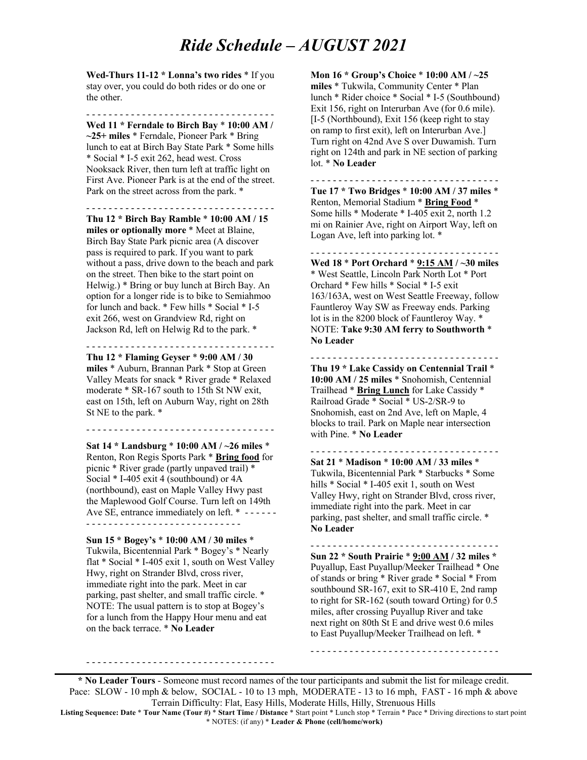**Wed-Thurs 11-12 \* Lonna's two rides** \* If you stay over, you could do both rides or do one or the other.

- - - - - - - - - - - - - - - - - - - - - - - - - - - - - - - - - - **Wed 11 \* Ferndale to Birch Bay** \* **10:00 AM / ~25+ miles** \* Ferndale, Pioneer Park \* Bring lunch to eat at Birch Bay State Park \* Some hills \* Social \* I-5 exit 262, head west. Cross Nooksack River, then turn left at traffic light on First Ave. Pioneer Park is at the end of the street. Park on the street across from the park. \*

- - - - - - - - - - - - - - - - - - - - - - - - - - - - - - - - - -

**Thu 12 \* Birch Bay Ramble** \* **10:00 AM / 15 miles or optionally more** \* Meet at Blaine, Birch Bay State Park picnic area (A discover pass is required to park. If you want to park without a pass, drive down to the beach and park on the street. Then bike to the start point on Helwig.) \* Bring or buy lunch at Birch Bay. An option for a longer ride is to bike to Semiahmoo for lunch and back. \* Few hills \* Social \* I-5 exit 266, west on Grandview Rd, right on Jackson Rd, left on Helwig Rd to the park. \*

**Thu 12 \* Flaming Geyser** \* **9:00 AM / 30 miles** \* Auburn, Brannan Park \* Stop at Green Valley Meats for snack \* River grade \* Relaxed moderate \* SR-167 south to 15th St NW exit, east on 15th, left on Auburn Way, right on 28th St NE to the park. \*

- - - - - - - - - - - - - - - - - - - - - - - - - - - - - - - - - -

- - - - - - - - - - - - - - - - - - - - - - - - - - - - - - - - - -

**Sat 14 \* Landsburg** \* **10:00 AM / ~26 miles** \* Renton, Ron Regis Sports Park \* **Bring food** for picnic \* River grade (partly unpaved trail) \* Social \* I-405 exit 4 (southbound) or 4A (northbound), east on Maple Valley Hwy past the Maplewood Golf Course. Turn left on 149th Ave SE, entrance immediately on left. \* ------

- - - - - - - - - - - - - - - - - - - - - - - - - - - -

**Sun 15 \* Bogey's** \* **10:00 AM / 30 miles** \* Tukwila, Bicentennial Park \* Bogey's \* Nearly flat \* Social \* I-405 exit 1, south on West Valley Hwy, right on Strander Blvd, cross river, immediate right into the park. Meet in car parking, past shelter, and small traffic circle. \* NOTE: The usual pattern is to stop at Bogey's for a lunch from the Happy Hour menu and eat on the back terrace. \* **No Leader**

- - - - - - - - - - - - - - - - - - - - - - - - - - - - - - - - - -

**Mon 16 \* Group's Choice** \* **10:00 AM / ~25 miles** \* Tukwila, Community Center \* Plan lunch \* Rider choice \* Social \* I-5 (Southbound) Exit 156, right on Interurban Ave (for 0.6 mile). [I-5 (Northbound), Exit 156 (keep right to stay on ramp to first exit), left on Interurban Ave.] Turn right on 42nd Ave S over Duwamish. Turn right on 124th and park in NE section of parking lot. \* **No Leader**

**Tue 17 \* Two Bridges** \* **10:00 AM / 37 miles** \* Renton, Memorial Stadium \* **Bring Food** \* Some hills \* Moderate \* I-405 exit 2, north 1.2 mi on Rainier Ave, right on Airport Way, left on Logan Ave, left into parking lot. \*

- - - - - - - - - - - - - - - - - - - - - - - - - - - - - - - - - -

- - - - - - - - - - - - - - - - - - - - - - - - - - - - - - - - - - **Wed 18** \* **Port Orchard** \* **9:15 AM / ~30 miles** \* West Seattle, Lincoln Park North Lot \* Port Orchard \* Few hills \* Social \* I-5 exit 163/163A, west on West Seattle Freeway, follow Fauntleroy Way SW as Freeway ends. Parking lot is in the 8200 block of Fauntleroy Way. \* NOTE: **Take 9:30 AM ferry to Southworth** \* **No Leader**

**Thu 19 \* Lake Cassidy on Centennial Trail** \* **10:00 AM / 25 miles** \* Snohomish, Centennial Trailhead \* **Bring Lunch** for Lake Cassidy \* Railroad Grade \* Social \* US-2/SR-9 to Snohomish, east on 2nd Ave, left on Maple, 4 blocks to trail. Park on Maple near intersection with Pine. \* **No Leader**

- - - - - - - - - - - - - - - - - - - - - - - - - - - - - - - - - -

**Sat 21** \* **Madison** \* **10:00 AM / 33 miles** \* Tukwila, Bicentennial Park \* Starbucks \* Some hills \* Social \* I-405 exit 1, south on West Valley Hwy, right on Strander Blvd, cross river, immediate right into the park. Meet in car parking, past shelter, and small traffic circle. \* **No Leader**

- - - - - - - - - - - - - - - - - - - - - - - - - - - - - - - - - -

- - - - - - - - - - - - - - - - - - - - - - - - - - - - - - - - - - **Sun 22 \* South Prairie** \* **9:00 AM / 32 miles \***  Puyallup, East Puyallup/Meeker Trailhead \* One of stands or bring \* River grade \* Social \* From southbound SR-167, exit to SR-410 E, 2nd ramp to right for SR-162 (south toward Orting) for 0.5 miles, after crossing Puyallup River and take next right on 80th St E and drive west 0.6 miles to East Puyallup/Meeker Trailhead on left. \*

- - - - - - - - - - - - - - - - - - - - - - - - - - - - - - - - - -

**\* No Leader Tours** - Someone must record names of the tour participants and submit the list for mileage credit. Pace: SLOW - 10 mph & below, SOCIAL - 10 to 13 mph, MODERATE - 13 to 16 mph, FAST - 16 mph & above Terrain Difficulty: Flat, Easy Hills, Moderate Hills, Hilly, Strenuous Hills

**Listing Sequence: Date** \* **Tour Name (Tour #)** \* **Start Time / Distance** \* Start point \* Lunch stop \* Terrain \* Pace \* Driving directions to start point \* NOTES: (if any) \* **Leader & Phone (cell/home/work)**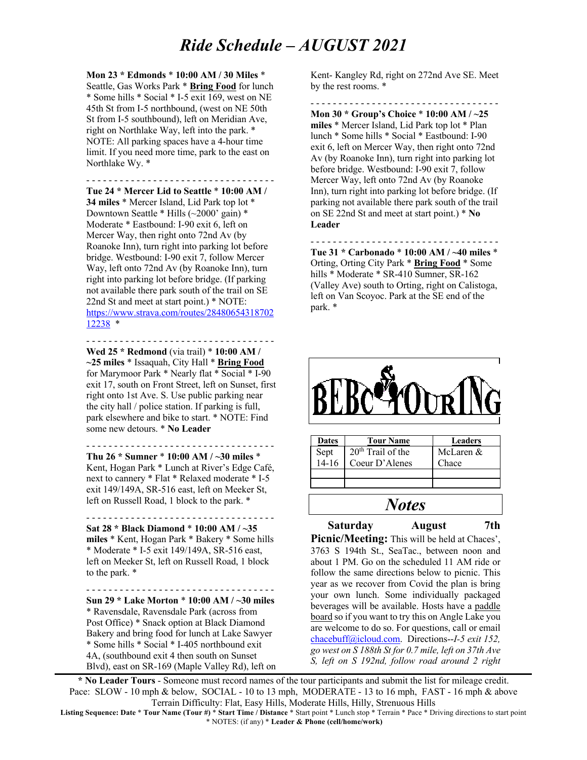**Mon 23 \* Edmonds** \* **10:00 AM / 30 Miles** \* Seattle, Gas Works Park \* **Bring Food** for lunch \* Some hills \* Social \* I-5 exit 169, west on NE 45th St from I-5 northbound, (west on NE 50th St from I-5 southbound), left on Meridian Ave, right on Northlake Way, left into the park. \* NOTE: All parking spaces have a 4-hour time limit. If you need more time, park to the east on Northlake Wy. \*

- - - - - - - - - - - - - - - - - - - - - - - - - - - - - - - - - -

**Tue 24 \* Mercer Lid to Seattle** \* **10:00 AM / 34 miles** \* Mercer Island, Lid Park top lot \* Downtown Seattle \* Hills (~2000' gain) \* Moderate \* Eastbound: I-90 exit 6, left on Mercer Way, then right onto 72nd Av (by Roanoke Inn), turn right into parking lot before bridge. Westbound: I-90 exit 7, follow Mercer Way, left onto 72nd Av (by Roanoke Inn), turn right into parking lot before bridge. (If parking not available there park south of the trail on SE 22nd St and meet at start point.) \* NOTE: https://www.strava.com/routes/28480654318702 12238 \*

- - - - - - - - - - - - - - - - - - - - - - - - - - - - - - - - - -

**Wed 25 \* Redmond** (via trail) \* **10:00 AM / ~25 miles** \* Issaquah, City Hall \* **Bring Food** for Marymoor Park \* Nearly flat \* Social \* I-90 exit 17, south on Front Street, left on Sunset, first right onto 1st Ave. S. Use public parking near the city hall / police station. If parking is full, park elsewhere and bike to start. \* NOTE: Find some new detours. \* **No Leader**

**Thu 26 \* Sumner** \* **10:00 AM / ~30 miles** \* Kent, Hogan Park \* Lunch at River's Edge Café, next to cannery \* Flat \* Relaxed moderate \* I-5 exit 149/149A, SR-516 east, left on Meeker St, left on Russell Road, 1 block to the park. \*

- - - - - - - - - - - - - - - - - - - - - - - - - - - - - - - - - -

- - - - - - - - - - - - - - - - - - - - - - - - - - - - - - - - - - **Sat 28 \* Black Diamond** \* **10:00 AM / ~35 miles** \* Kent, Hogan Park \* Bakery \* Some hills \* Moderate \* I-5 exit 149/149A, SR-516 east, left on Meeker St, left on Russell Road, 1 block to the park. \*

- - - - - - - - - - - - - - - - - - - - - - - - - - - - - - - - - -

**Sun 29 \* Lake Morton** \* **10:00 AM / ~30 miles** \* Ravensdale, Ravensdale Park (across from Post Office) \* Snack option at Black Diamond Bakery and bring food for lunch at Lake Sawyer \* Some hills \* Social \* I-405 northbound exit 4A, (southbound exit 4 then south on Sunset Blvd), east on SR-169 (Maple Valley Rd), left on Kent- Kangley Rd, right on 272nd Ave SE. Meet by the rest rooms. \*

- - - - - - - - - - - - - - - - - - - - - - - - - - - - - - - - - -

**Mon 30 \* Group's Choice** \* **10:00 AM / ~25 miles** \* Mercer Island, Lid Park top lot \* Plan lunch \* Some hills \* Social \* Eastbound: I-90 exit 6, left on Mercer Way, then right onto 72nd Av (by Roanoke Inn), turn right into parking lot before bridge. Westbound: I-90 exit 7, follow Mercer Way, left onto 72nd Av (by Roanoke Inn), turn right into parking lot before bridge. (If parking not available there park south of the trail on SE 22nd St and meet at start point.) \* **No Leader**

- - - - - - - - - - - - - - - - - - - - - - - - - - - - - - - - - - **Tue 31 \* Carbonado** \* **10:00 AM / ~40 miles** \* Orting, Orting City Park \* **Bring Food** \* Some hills \* Moderate \* SR-410 Sumner, SR-162 (Valley Ave) south to Orting, right on Calistoga, left on Van Scoyoc. Park at the SE end of the park. \*



| <b>Dates</b>    | <b>Tour Name</b>              | <b>Leaders</b> |
|-----------------|-------------------------------|----------------|
| Sept<br>$14-16$ | 20 <sup>th</sup> Trail of the | McLaren &      |
|                 | Coeur D'Alenes                | Chace          |
|                 |                               |                |
|                 |                               |                |

#### *Notes*

**Saturday August 7th Picnic/Meeting:** This will be held at Chaces',

3763 S 194th St., SeaTac., between noon and about 1 PM. Go on the scheduled 11 AM ride or follow the same directions below to picnic. This year as we recover from Covid the plan is bring your own lunch. Some individually packaged beverages will be available. Hosts have a paddle board so if you want to try this on Angle Lake you are welcome to do so. For questions, call or email chacebuff@icloud.com. Directions--*I-5 exit 152, go west on S 188th St for 0.7 mile, left on 37th Ave S, left on S 192nd, follow road around 2 right* 

**\* No Leader Tours** - Someone must record names of the tour participants and submit the list for mileage credit. Pace: SLOW - 10 mph & below, SOCIAL - 10 to 13 mph, MODERATE - 13 to 16 mph, FAST - 16 mph & above Terrain Difficulty: Flat, Easy Hills, Moderate Hills, Hilly, Strenuous Hills

**Listing Sequence: Date** \* **Tour Name (Tour #)** \* **Start Time / Distance** \* Start point \* Lunch stop \* Terrain \* Pace \* Driving directions to start point \* NOTES: (if any) \* **Leader & Phone (cell/home/work)**